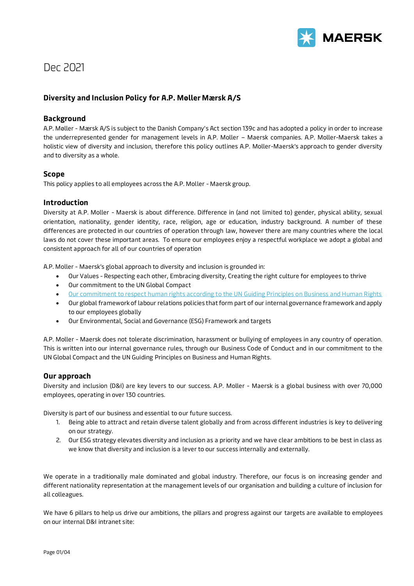

# Dec 2021

# **Diversity and Inclusion Policy for A.P. Møller Mærsk A/S**

# **Background**

A.P. Møller - Mærsk A/S is subject to the Danish Company's Act section 139c and has adopted a policy in order to increase the underrepresented gender for management levels in A.P. Moller – Maersk companies. A.P. Moller-Maersk takes a holistic view of diversity and inclusion, therefore this policy outlines A.P. Moller-Maersk's approach to gender diversity and to diversity as a whole.

## **Scope**

This policy applies to all employees across the A.P. Moller - Maersk group.

# **Introduction**

Diversity at A.P. Moller - Maersk is about difference. Difference in (and not limited to) gender, physical ability, sexual orientation, nationality, gender identity, race, religion, age or education, industry background. A number of these differences are protected in our countries of operation through law, however there are many countries where the local laws do not cover these important areas. To ensure our employees enjoy a respectful workplace we adopt a global and consistent approach for all of our countries of operation

A.P. Moller - Maersk's global approach to diversity and inclusion is grounded in:

- Our Values Respecting each other, Embracing diversity, Creating the right culture for employees to thrive
- Our commitment to the UN Global Compact
- [Our commitment to respect human rights according to the UN Guiding Principles on Business and Human Rights](https://www.maersk.com/about/sustainability/reports)
- Our global framework of labour relations policies that form part of our internal governance framework and apply to our employees globally
- Our Environmental, Social and Governance (ESG) Framework and targets

A.P. Moller - Maersk does not tolerate discrimination, harassment or bullying of employees in any country of operation. This is written into our internal governance rules, through our Business Code of Conduct and in our commitment to the UN Global Compact and the UN Guiding Principles on Business and Human Rights.

# **Our approach**

Diversity and inclusion (D&I) are key levers to our success. A.P. Moller - Maersk is a global business with over 70,000 employees, operating in over 130 countries.

Diversity is part of our business and essential to our future success.

- 1. Being able to attract and retain diverse talent globally and from across different industries is key to delivering on our strategy.
- 2. Our ESG strategy elevates diversity and inclusion as a priority and we have clear ambitions to be best in class as we know that diversity and inclusion is a lever to our success internally and externally.

We operate in a traditionally male dominated and global industry. Therefore, our focus is on increasing gender and different nationality representation at the management levels of our organisation and building a culture of inclusion for all colleagues.

We have 6 pillars to help us drive our ambitions, the pillars and progress against our targets are available to employees on our internal D&I intranet site: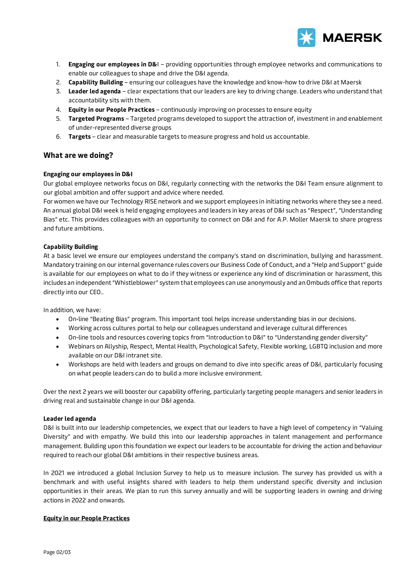

- 1. **Engaging our employees in D&**I providing opportunities through employee networks and communications to enable our colleagues to shape and drive the D&I agenda.
- 2. **Capability Building** ensuring our colleagues have the knowledge and know-how to drive D&I at Maersk
- 3. **Leader led agenda** clear expectations that our leaders are key to driving change. Leaders who understand that accountability sits with them.
- 4. **Equity in our People Practices** continuously improving on processes to ensure equity
- 5. **Targeted Programs** Targeted programs developed to support the attraction of, investment in and enablement of under-represented diverse groups
- 6. **Targets**  clear and measurable targets to measure progress and hold us accountable.

## **What are we doing?**

## **Engaging our employees in D&I**

Our global employee networks focus on D&I, regularly connecting with the networks the D&I Team ensure alignment to our global ambition and offer support and advice where needed.

For women we have our Technology RISE network and we support employees in initiating networks where they see a need. An annual global D&I week is held engaging employees and leaders in key areas of D&I such as "Respect", "Understanding Bias" etc. This provides colleagues with an opportunity to connect on D&I and for A.P. Moller Maersk to share progress and future ambitions.

## **Capability Building**

At a basic level we ensure our employees understand the company's stand on discrimination, bullying and harassment. Mandatory training on our internal governance rules covers our Business Code of Conduct, and a "Help and Support" guide is available for our employees on what to do if they witness or experience any kind of discrimination or harassment, this includes an independent "Whistleblower" system that employees can use anonymously and an Ombuds office that reports directly into our CEO..

In addition, we have:

- On-line "Beating Bias" program. This important tool helps increase understanding bias in our decisions.
- Working across cultures portal to help our colleagues understand and leverage cultural differences
- On-line tools and resources covering topics from "Introduction to D&I" to "Understanding gender diversity"
- Webinars on Allyship, Respect, Mental Health, Psychological Safety, Flexible working, LGBTQ inclusion and more available on our D&I intranet site.
- Workshops are held with leaders and groups on demand to dive into specific areas of D&I, particularly focusing on what people leaders can do to build a more inclusive environment.

Over the next 2 years we will booster our capability offering, particularly targeting people managers and senior leaders in driving real and sustainable change in our D&I agenda.

## **Leader led agenda**

D&I is built into our leadership competencies, we expect that our leaders to have a high level of competency in "Valuing Diversity" and with empathy. We build this into our leadership approaches in talent management and performance management. Building upon this foundation we expect our leaders to be accountable for driving the action and behaviour required to reach our global D&I ambitions in their respective business areas.

In 2021 we introduced a global Inclusion Survey to help us to measure inclusion. The survey has provided us with a benchmark and with useful insights shared with leaders to help them understand specific diversity and inclusion opportunities in their areas. We plan to run this survey annually and will be supporting leaders in owning and driving actions in 2022 and onwards.

## **Equity in our People Practices**